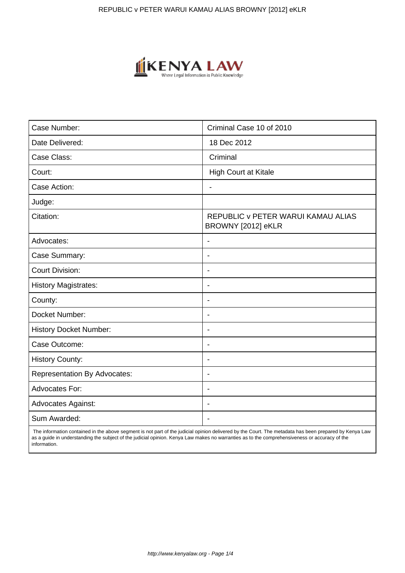

| Case Number:                        | Criminal Case 10 of 2010                                 |
|-------------------------------------|----------------------------------------------------------|
| Date Delivered:                     | 18 Dec 2012                                              |
| Case Class:                         | Criminal                                                 |
| Court:                              | <b>High Court at Kitale</b>                              |
| Case Action:                        | $\overline{\phantom{0}}$                                 |
| Judge:                              |                                                          |
| Citation:                           | REPUBLIC v PETER WARUI KAMAU ALIAS<br>BROWNY [2012] eKLR |
| Advocates:                          | $\blacksquare$                                           |
| Case Summary:                       | $\overline{\phantom{0}}$                                 |
| <b>Court Division:</b>              |                                                          |
| <b>History Magistrates:</b>         | $\blacksquare$                                           |
| County:                             | $\blacksquare$                                           |
| Docket Number:                      | $\blacksquare$                                           |
| <b>History Docket Number:</b>       | $\blacksquare$                                           |
| Case Outcome:                       |                                                          |
| <b>History County:</b>              | $\blacksquare$                                           |
| <b>Representation By Advocates:</b> | $\overline{\phantom{a}}$                                 |
| Advocates For:                      | $\overline{\phantom{a}}$                                 |
| <b>Advocates Against:</b>           | $\overline{\phantom{0}}$                                 |
| Sum Awarded:                        |                                                          |

 The information contained in the above segment is not part of the judicial opinion delivered by the Court. The metadata has been prepared by Kenya Law as a guide in understanding the subject of the judicial opinion. Kenya Law makes no warranties as to the comprehensiveness or accuracy of the information.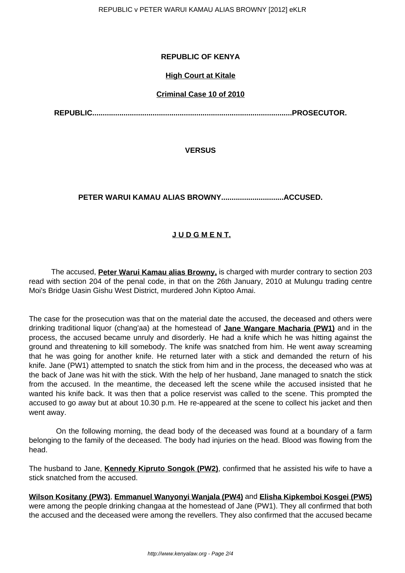## **REPUBLIC OF KENYA**

### **High Court at Kitale**

### **Criminal Case 10 of 2010**

**REPUBLIC................................................................................................PROSECUTOR.**

**VERSUS**

## **PETER WARUI KAMAU ALIAS BROWNY..............................ACCUSED.**

# **J U D G M E N T.**

 The accused, **Peter Warui Kamau alias Browny,** is charged with murder contrary to section 203 read with section 204 of the penal code, in that on the 26th January, 2010 at Mulungu trading centre Moi's Bridge Uasin Gishu West District, murdered John Kiptoo Amai.

The case for the prosecution was that on the material date the accused, the deceased and others were drinking traditional liquor (chang'aa) at the homestead of **Jane Wangare Macharia (PW1)** and in the process, the accused became unruly and disorderly. He had a knife which he was hitting against the ground and threatening to kill somebody. The knife was snatched from him. He went away screaming that he was going for another knife. He returned later with a stick and demanded the return of his knife. Jane (PW1) attempted to snatch the stick from him and in the process, the deceased who was at the back of Jane was hit with the stick. With the help of her husband, Jane managed to snatch the stick from the accused. In the meantime, the deceased left the scene while the accused insisted that he wanted his knife back. It was then that a police reservist was called to the scene. This prompted the accused to go away but at about 10.30 p.m. He re-appeared at the scene to collect his jacket and then went away.

 On the following morning, the dead body of the deceased was found at a boundary of a farm belonging to the family of the deceased. The body had injuries on the head. Blood was flowing from the head.

The husband to Jane, **Kennedy Kipruto Songok (PW2)**, confirmed that he assisted his wife to have a stick snatched from the accused.

**Wilson Kositany (PW3)**, **Emmanuel Wanyonyi Wanjala (PW4)** and **Elisha Kipkemboi Kosgei (PW5)** were among the people drinking changaa at the homestead of Jane (PW1). They all confirmed that both the accused and the deceased were among the revellers. They also confirmed that the accused became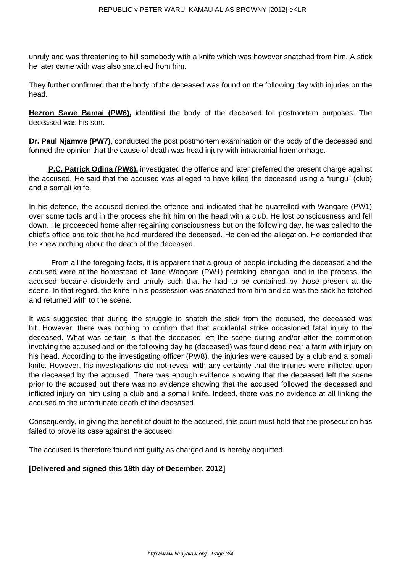unruly and was threatening to hill somebody with a knife which was however snatched from him. A stick he later came with was also snatched from him.

They further confirmed that the body of the deceased was found on the following day with injuries on the head.

**Hezron Sawe Bamai (PW6),** identified the body of the deceased for postmortem purposes. The deceased was his son.

**Dr. Paul Njamwe (PW7)**, conducted the post postmortem examination on the body of the deceased and formed the opinion that the cause of death was head injury with intracranial haemorrhage.

**P.C. Patrick Odina (PW8),** investigated the offence and later preferred the present charge against the accused. He said that the accused was alleged to have killed the deceased using a "rungu" (club) and a somali knife.

In his defence, the accused denied the offence and indicated that he quarrelled with Wangare (PW1) over some tools and in the process she hit him on the head with a club. He lost consciousness and fell down. He proceeded home after regaining consciousness but on the following day, he was called to the chief's office and told that he had murdered the deceased. He denied the allegation. He contended that he knew nothing about the death of the deceased.

 From all the foregoing facts, it is apparent that a group of people including the deceased and the accused were at the homestead of Jane Wangare (PW1) pertaking 'changaa' and in the process, the accused became disorderly and unruly such that he had to be contained by those present at the scene. In that regard, the knife in his possession was snatched from him and so was the stick he fetched and returned with to the scene.

It was suggested that during the struggle to snatch the stick from the accused, the deceased was hit. However, there was nothing to confirm that that accidental strike occasioned fatal injury to the deceased. What was certain is that the deceased left the scene during and/or after the commotion involving the accused and on the following day he (deceased) was found dead near a farm with injury on his head. According to the investigating officer (PW8), the injuries were caused by a club and a somali knife. However, his investigations did not reveal with any certainty that the injuries were inflicted upon the deceased by the accused. There was enough evidence showing that the deceased left the scene prior to the accused but there was no evidence showing that the accused followed the deceased and inflicted injury on him using a club and a somali knife. Indeed, there was no evidence at all linking the accused to the unfortunate death of the deceased.

Consequently, in giving the benefit of doubt to the accused, this court must hold that the prosecution has failed to prove its case against the accused.

The accused is therefore found not guilty as charged and is hereby acquitted.

### **[Delivered and signed this 18th day of December, 2012]**